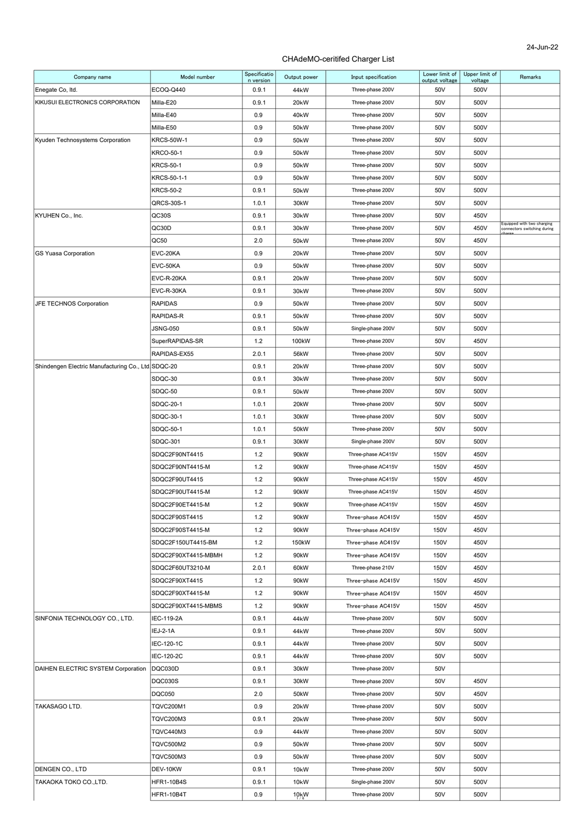#### 24-Jun-22

| Company name                                       | Model number        | Specificatio<br>n version | Output power       | Input specification | Lower limit of<br>output voltage | Upper limit of<br>voltage | Remarks                                                   |
|----------------------------------------------------|---------------------|---------------------------|--------------------|---------------------|----------------------------------|---------------------------|-----------------------------------------------------------|
| Enegate Co, Itd.                                   | ECOQ-Q440           | 0.9.1                     | 44kW               | Three-phase 200V    | 50V                              | 500V                      |                                                           |
| KIKUSUI ELECTRONICS CORPORATION                    | Milla-E20           | 0.9.1                     | 20 <sub>k</sub> W  | Three-phase 200V    | 50V                              | 500V                      |                                                           |
|                                                    | Milla-E40           | 0.9                       | 40kW               | Three-phase 200V    | 50V                              | 500V                      |                                                           |
|                                                    | Milla-E50           | 0.9                       | 50 <sub>k</sub> W  | Three-phase 200V    | 50V                              | 500V                      |                                                           |
| Kyuden Technosystems Corporation                   | KRCS-50W-1          | 0.9                       | 50 <sub>k</sub> W  | Three-phase 200V    | 50V                              | 500V                      |                                                           |
|                                                    | <b>KRCO-50-1</b>    | 0.9                       | 50kW               | Three-phase 200V    | 50V                              | 500V                      |                                                           |
|                                                    | <b>KRCS-50-1</b>    | 0.9                       | 50 <sub>k</sub> W  | Three-phase 200V    | 50V                              | 500V                      |                                                           |
|                                                    | KRCS-50-1-1         | 0.9                       | 50 <sub>k</sub> W  | Three-phase 200V    | 50V                              | 500V                      |                                                           |
|                                                    | KRCS-50-2           | 0.9.1                     | 50 <sub>k</sub> W  | Three-phase 200V    | 50V                              | 500V                      |                                                           |
|                                                    | QRCS-30S-1          | 1.0.1                     | 30kW               | Three-phase 200V    | 50V                              | 500V                      |                                                           |
| KYUHEN Co., Inc.                                   | QC30S               | 0.9.1                     | 30 <sub>k</sub> W  | Three-phase 200V    | 50V                              | 450V                      |                                                           |
|                                                    | QC30D               | 0.9.1                     | 30kW               | Three-phase 200V    | 50V                              | 450V                      | Equipped with two charging<br>connectors switching during |
|                                                    | QC50                | 2.0                       | 50kW               | Three-phase 200V    | 50V                              | 450V                      |                                                           |
| <b>GS Yuasa Corporation</b>                        | EVC-20KA            | 0.9                       | 20 <sub>k</sub> W  | Three-phase 200V    | 50V                              | 500V                      |                                                           |
|                                                    | EVC-50KA            | 0.9                       | 50 <sub>k</sub> W  | Three-phase 200V    | 50V                              | 500V                      |                                                           |
|                                                    | EVC-R-20KA          | 0.9.1                     | 20kW               | Three-phase 200V    | 50V                              | 500V                      |                                                           |
|                                                    | EVC-R-30KA          | 0.9.1                     | 30kW               | Three-phase 200V    | 50V                              | 500V                      |                                                           |
| JFE TECHNOS Corporation                            | RAPIDAS             | 0.9                       | 50 <sub>k</sub> W  | Three-phase 200V    | 50V                              | 500V                      |                                                           |
|                                                    | RAPIDAS-R           | 0.9.1                     | 50kW               | Three-phase 200V    | 50V                              | 500V                      |                                                           |
|                                                    | <b>JSNG-050</b>     | 0.9.1                     | 50 <sub>k</sub> W  | Single-phase 200V   | 50V                              | 500V                      |                                                           |
|                                                    | SuperRAPIDAS-SR     | 1.2                       | 100 <sub>k</sub> W | Three-phase 200V    | 50V                              | 450V                      |                                                           |
|                                                    | RAPIDAS-EX55        | 2.0.1                     | 56kW               | Three-phase 200V    | 50V                              | 500V                      |                                                           |
| Shindengen Electric Manufacturing Co., Ltd SDQC-20 |                     | 0.9.1                     | 20 <sub>k</sub> W  | Three-phase 200V    | 50V                              | 500V                      |                                                           |
|                                                    | SDQC-30             | 0.9.1                     | 30kW               | Three-phase 200V    | 50V                              | 500V                      |                                                           |
|                                                    | SDQC-50             | 0.9.1                     | 50 <sub>k</sub> W  | Three-phase 200V    | 50V                              | 500V                      |                                                           |
|                                                    | SDQC-20-1           | 1.0.1                     | 20kW               | Three-phase 200V    | 50V                              | 500V                      |                                                           |
|                                                    | SDQC-30-1           | 1.0.1                     | 30kW               | Three-phase 200V    | 50V                              | 500V                      |                                                           |
|                                                    | SDQC-50-1           | 1.0.1                     | 50kW               | Three-phase 200V    | 50V                              | 500V                      |                                                           |
|                                                    | SDQC-301            | 0.9.1                     | 30kW               | Single-phase 200V   | 50V                              | 500V                      |                                                           |
|                                                    | SDQC2F90NT4415      | 1.2                       | 90kW               | Three-phase AC415V  | 150V                             | 450V                      |                                                           |
|                                                    | SDQC2F90NT4415-M    | 1.2                       | 90 <sub>k</sub> W  | Three-phase AC415V  | 150V                             | 450V                      |                                                           |
|                                                    | SDQC2F90UT4415      | 1.2                       | 90 <sub>k</sub> W  | Three-phase AC415V  | 150V                             | 450V                      |                                                           |
|                                                    | SDQC2F90UT4415-M    | 1.2                       | 90 <sub>k</sub> W  | Three-phase AC415V  | 150V                             | 450V                      |                                                           |
|                                                    | SDQC2F90ET4415-M    | 1.2                       | 90kW               | Three-phase AC415V  | 150V                             | 450V                      |                                                           |
|                                                    | SDQC2F90ST4415      | 1.2                       | 90kW               | Three-phase AC415V  | 150V                             | 450V                      |                                                           |
|                                                    | SDQC2F90ST4415-M    | 1.2                       | 90kW               | Three-phase AC415V  | 150V                             | 450V                      |                                                           |
|                                                    | SDQC2F150UT4415-BM  | 1.2                       | 150kW              | Three-phase AC415V  | 150V                             | 450V                      |                                                           |
|                                                    | SDQC2F90XT4415-MBMH | 1.2                       | 90kW               | Three-phase AC415V  | 150V                             | 450V                      |                                                           |
|                                                    | SDQC2F60UT3210-M    | 2.0.1                     | 60kW               | Three-phase 210V    | 150V                             | 450V                      |                                                           |
|                                                    | SDQC2F90XT4415      | 1.2                       | 90kW               | Three-phase AC415V  | 150V                             | 450V                      |                                                           |
|                                                    | SDQC2F90XT4415-M    | 1.2                       | 90kW               | Three-phase AC415V  | 150V                             | 450V                      |                                                           |
|                                                    | SDQC2F90XT4415-MBMS | 1.2                       | 90kW               | Three-phase AC415V  | 150V                             | 450V                      |                                                           |
| SINFONIA TECHNOLOGY CO., LTD.                      | IEC-119-2A          | 0.9.1                     | 44 <sub>k</sub> W  | Three-phase 200V    | 50V                              | 500V                      |                                                           |
|                                                    | IEJ-2-1A            | 0.9.1                     | 44kW               | Three-phase 200V    | 50V                              | 500V                      |                                                           |
|                                                    | IEC-120-1C          | 0.9.1                     | 44 <sub>k</sub> W  | Three-phase 200V    | 50V                              | 500V                      |                                                           |
|                                                    | IEC-120-2C          | 0.9.1                     | 44kW               | Three-phase 200V    | 50V                              | 500V                      |                                                           |
| DAIHEN ELECTRIC SYSTEM Corporation                 | DQC030D             | 0.9.1                     | 30kW               | Three-phase 200V    | 50V                              |                           |                                                           |
|                                                    | <b>DQC030S</b>      | 0.9.1                     | 30kW               | Three-phase 200V    | 50V                              | 450V                      |                                                           |
|                                                    | <b>DQC050</b>       | 2.0                       | 50kW               | Three-phase 200V    | 50V                              | 450V                      |                                                           |
| <b>TAKASAGO LTD.</b>                               | <b>TQVC200M1</b>    | 0.9                       | 20kW               | Three-phase 200V    | 50V                              | 500V                      |                                                           |
|                                                    | <b>TQVC200M3</b>    | 0.9.1                     | 20kW               | Three-phase 200V    | 50V                              | 500V                      |                                                           |
|                                                    | TQVC440M3           | 0.9                       | 44kW               | Three-phase 200V    | 50V                              | 500V                      |                                                           |
|                                                    | TQVC500M2           | 0.9                       | 50 <sub>k</sub> W  | Three-phase 200V    | 50V                              | 500V                      |                                                           |
|                                                    | TQVC500M3           | 0.9                       | 50 <sub>k</sub> W  | Three-phase 200V    | 50V                              | 500V                      |                                                           |
| DENGEN CO., LTD                                    | DEV-10KW            | 0.9.1                     | <b>10kW</b>        | Three-phase 200V    | 50V                              | 500V                      |                                                           |
| TAKAOKA TOKO CO., LTD.                             | <b>HFR1-10B4S</b>   | 0.9.1                     | 10 <sub>k</sub> W  | Single-phase 200V   | 50V                              | 500V                      |                                                           |
|                                                    | HFR1-10B4T          | 0.9                       | $10$ kW            | Three-phase 200V    | 50V                              | 500V                      |                                                           |
|                                                    |                     |                           |                    |                     |                                  |                           |                                                           |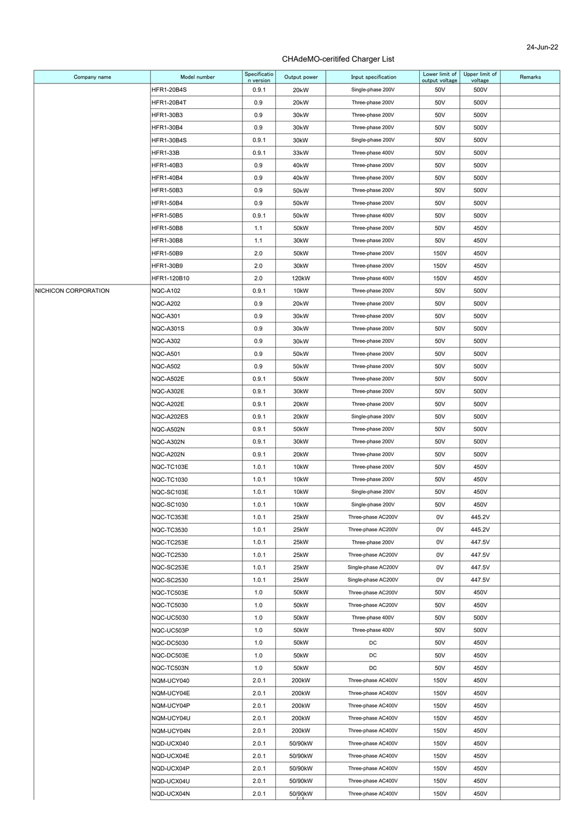| Company name         | Model number      | Specificatio       | Output power      | Input specification | Lower limit of<br>output voltage | Upper limit of  | Remarks |
|----------------------|-------------------|--------------------|-------------------|---------------------|----------------------------------|-----------------|---------|
|                      | <b>HFR1-20B4S</b> | n version<br>0.9.1 | 20 <sub>k</sub> W | Single-phase 200V   | 50V                              | voltage<br>500V |         |
|                      | <b>HFR1-20B4T</b> | 0.9                | 20 <sub>k</sub> W | Three-phase 200V    | 50V                              | 500V            |         |
|                      | <b>HFR1-30B3</b>  | 0.9                | 30 <sub>k</sub> W | Three-phase 200V    | 50V                              | 500V            |         |
|                      | HFR1-30B4         | 0.9                | 30 <sub>k</sub> W | Three-phase 200V    | 50V                              | 500V            |         |
|                      | <b>HFR1-30B4S</b> | 0.9.1              | 30kW              | Single-phase 200V   | 50V                              | 500V            |         |
|                      | <b>HFR1-33B</b>   | 0.9.1              | 33kW              | Three-phase 400V    | 50V                              | 500V            |         |
|                      | HFR1-40B3         | 0.9                | 40 <sub>k</sub> W | Three-phase 200V    | 50V                              | 500V            |         |
|                      | <b>HFR1-40B4</b>  | 0.9                | 40 <sub>k</sub> W | Three-phase 200V    | 50V                              | 500V            |         |
|                      | <b>HFR1-50B3</b>  | 0.9                | 50 <sub>k</sub> W | Three-phase 200V    | 50V                              | 500V            |         |
|                      | <b>HFR1-50B4</b>  | 0.9                | 50 <sub>k</sub> W | Three-phase 200V    | 50V                              | 500V            |         |
|                      | HFR1-50B5         | 0.9.1              | 50 <sub>k</sub> W | Three-phase 400V    | 50V                              | 500V            |         |
|                      | <b>HFR1-50B8</b>  | 1.1                | 50kW              | Three-phase 200V    | 50V                              | 450V            |         |
|                      | HFR1-30B8         | 1.1                | 30kW              | Three-phase 200V    | 50V                              | 450V            |         |
|                      | HFR1-50B9         | 2.0                | 50 <sub>k</sub> W | Three-phase 200V    | 150V                             | 450V            |         |
|                      | HFR1-30B9         | 2.0                | 30kW              | Three-phase 200V    | 150V                             | 450V            |         |
|                      | HFR1-120B10       | 2.0                | 120kW             | Three-phase 400V    | 150V                             | 450V            |         |
| NICHICON CORPORATION | <b>NQC-A102</b>   | 0.9.1              | 10 <sub>k</sub> W | Three-phase 200V    | 50V                              | 500V            |         |
|                      | <b>NQC-A202</b>   | 0.9                | 20 <sub>k</sub> W | Three-phase 200V    | 50V                              | 500V            |         |
|                      | <b>NQC-A301</b>   | 0.9                | 30 <sub>k</sub> W | Three-phase 200V    | 50V                              | 500V            |         |
|                      | <b>NQC-A301S</b>  | 0.9                | 30kW              | Three-phase 200V    | 50V                              | 500V            |         |
|                      | <b>NQC-A302</b>   | 0.9                | 30 <sub>k</sub> W | Three-phase 200V    | 50V                              | 500V            |         |
|                      | <b>NQC-A501</b>   | 0.9                | 50 <sub>k</sub> W | Three-phase 200V    | 50V                              | 500V            |         |
|                      | <b>NQC-A502</b>   | 0.9                | 50 <sub>k</sub> W | Three-phase 200V    | 50V                              | 500V            |         |
|                      | NQC-A502E         | 0.9.1              | 50kW              | Three-phase 200V    | 50V                              | 500V            |         |
|                      | NQC-A302E         | 0.9.1              | 30kW              | Three-phase 200V    | 50V                              | 500V            |         |
|                      | NQC-A202E         | 0.9.1              | 20kW              | Three-phase 200V    | 50V                              | 500V            |         |
|                      | NQC-A202ES        | 0.9.1              | 20kW              | Single-phase 200V   | 50V                              | 500V            |         |
|                      | NQC-A502N         | 0.9.1              | 50kW              | Three-phase 200V    | 50V                              | 500V            |         |
|                      | NQC-A302N         | 0.9.1              | 30kW              | Three-phase 200V    | 50V                              | 500V            |         |
|                      | NQC-A202N         | 0.9.1              | 20kW              | Three-phase 200V    | 50V                              | 500V            |         |
|                      | NQC-TC103E        | 1.0.1              | 10 <sub>k</sub> W | Three-phase 200V    | 50V                              | 450V            |         |
|                      | <b>NQC-TC1030</b> | 1.0.1              | 10 <sub>k</sub> W | Three-phase 200V    | 50V                              | 450V            |         |
|                      | NQC-SC103E        | 1.0.1              | 10 <sub>k</sub> W | Single-phase 200V   | 50V                              | 450V            |         |
|                      | <b>NQC-SC1030</b> | 1.0.1              | 10kW              | Single-phase 200V   | 50V                              | 450V            |         |
|                      | NQC-TC353E        | 1.0.1              | 25kW              | Three-phase AC200V  | 0V                               | 445.2V          |         |
|                      | <b>NQC-TC3530</b> | 1.0.1              | 25kW              | Three-phase AC200V  | 0V                               | 445.2V          |         |
|                      | NQC-TC253E        | 1.0.1              | 25kW              | Three-phase 200V    | 0V                               | 447.5V          |         |
|                      | <b>NQC-TC2530</b> | 1.0.1              | 25kW              | Three-phase AC200V  | 0V                               | 447.5V          |         |
|                      | NQC-SC253E        | 1.0.1              | 25kW              | Single-phase AC200V | 0V                               | 447.5V          |         |
|                      | <b>NQC-SC2530</b> | 1.0.1              | 25kW              | Single-phase AC200V | 0V                               | 447.5V          |         |
|                      | NQC-TC503E        | 1.0                | 50kW              | Three-phase AC200V  | 50V                              | 450V            |         |
|                      | <b>NQC-TC5030</b> | 1.0                | 50kW              | Three-phase AC200V  | 50V                              | 450V            |         |
|                      | <b>NQC-UC5030</b> | 1.0                | 50kW              | Three-phase 400V    | 50V                              | 500V            |         |
|                      | NQC-UC503P        | 1.0                | 50kW              | Three-phase 400V    | 50V                              | 500V            |         |
|                      | <b>NQC-DC5030</b> | 1.0                | 50kW              | DC                  | 50V                              | 450V            |         |
|                      | NQC-DC503E        | 1.0                | 50kW              | DC                  | 50V                              | 450V            |         |
|                      | NQC-TC503N        | 1.0                | 50kW              | DC                  | 50V                              | 450V            |         |
|                      | NQM-UCY040        | 2.0.1              | 200kW             | Three-phase AC400V  | 150V                             | 450V            |         |
|                      | NQM-UCY04E        | 2.0.1              | 200kW             | Three-phase AC400V  | 150V                             | 450V            |         |
|                      | NQM-UCY04P        | 2.0.1              | 200kW             | Three-phase AC400V  | 150V                             | 450V            |         |
|                      | NQM-UCY04U        | 2.0.1              | 200kW             | Three-phase AC400V  | 150V                             | 450V            |         |
|                      | NQM-UCY04N        | 2.0.1              | 200kW             | Three-phase AC400V  | 150V                             | 450V            |         |
|                      | NQD-UCX040        | 2.0.1              | 50/90kW           | Three-phase AC400V  | 150V                             | 450V            |         |
|                      | NQD-UCX04E        | 2.0.1              | 50/90kW           | Three-phase AC400V  | 150V                             | 450V            |         |
|                      | NQD-UCX04P        | 2.0.1              | 50/90kW           | Three-phase AC400V  | 150V                             | 450V            |         |
|                      | NQD-UCX04U        | 2.0.1              | 50/90kW           | Three-phase AC400V  | 150V                             | 450V            |         |
|                      | NQD-UCX04N        | 2.0.1              | 50/90kW           | Three-phase AC400V  | 150V                             | 450V            |         |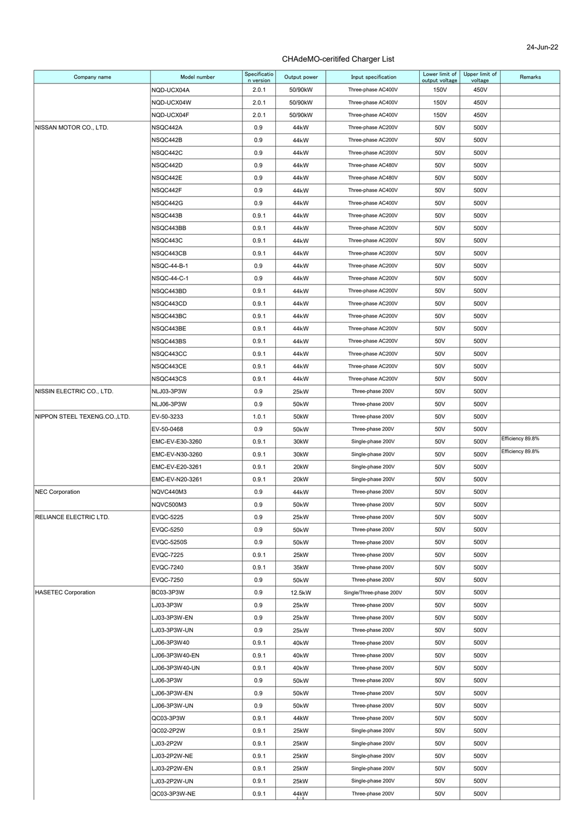| Company name                 | Model number                 | Specificatio<br>n version | Output power                           | Input specification                   | Lower limit of<br>output voltage | Upper limit of<br>voltage | Remarks          |
|------------------------------|------------------------------|---------------------------|----------------------------------------|---------------------------------------|----------------------------------|---------------------------|------------------|
|                              | NQD-UCX04A                   | 2.0.1                     | 50/90kW                                | Three-phase AC400V                    | 150V                             | 450V                      |                  |
|                              | NQD-UCX04W                   | 2.0.1                     | 50/90kW                                | Three-phase AC400V                    | 150V                             | 450V                      |                  |
|                              | NQD-UCX04F                   | 2.0.1                     | 50/90kW                                | Three-phase AC400V                    | 150V                             | 450V                      |                  |
| NISSAN MOTOR CO., LTD.       | NSQC442A                     | 0.9                       | 44 <sub>k</sub> W                      | Three-phase AC200V                    | 50V                              | 500V                      |                  |
|                              | NSQC442B                     | 0.9                       | 44 <sub>k</sub> W                      | Three-phase AC200V                    | 50V                              | 500V                      |                  |
|                              | NSQC442C                     | 0.9                       | 44 <sub>k</sub> W                      | Three-phase AC200V                    | 50V                              | 500V                      |                  |
|                              | NSQC442D                     | 0.9                       | 44 <sub>k</sub> W                      | Three-phase AC480V                    | 50V                              | 500V                      |                  |
|                              | NSQC442E                     | 0.9                       | 44 <sub>k</sub> W                      | Three-phase AC480V                    | 50V                              | 500V                      |                  |
|                              | NSQC442F                     | 0.9                       | 44 <sub>k</sub> W                      | Three-phase AC400V                    | 50V                              | 500V                      |                  |
|                              |                              | 0.9                       |                                        | Three-phase AC400V                    | 50V                              | 500V                      |                  |
|                              | NSQC442G<br>NSQC443B         |                           | 44 <sub>k</sub> W<br>44 <sub>k</sub> W | Three-phase AC200V                    |                                  | 500V                      |                  |
|                              |                              | 0.9.1                     |                                        |                                       | 50V                              |                           |                  |
|                              | NSQC443BB                    | 0.9.1                     | 44 <sub>k</sub> W                      | Three-phase AC200V                    | 50V                              | 500V                      |                  |
|                              | NSQC443C                     | 0.9.1                     | 44 <sub>k</sub> W                      | Three-phase AC200V                    | 50V                              | 500V                      |                  |
|                              | NSQC443CB                    | 0.9.1                     | 44 <sub>k</sub> W                      | Three-phase AC200V                    | 50V                              | 500V                      |                  |
|                              | NSQC-44-B-1                  | 0.9                       | 44 <sub>k</sub> W                      | Three-phase AC200V                    | 50V                              | 500V                      |                  |
|                              | <b>NSQC-44-C-1</b>           | 0.9                       | 44 <sub>k</sub> W                      | Three-phase AC200V                    | 50V                              | 500V                      |                  |
|                              | NSQC443BD                    | 0.9.1                     | 44 <sub>k</sub> W                      | Three-phase AC200V                    | 50V                              | 500V                      |                  |
|                              | NSQC443CD                    | 0.9.1                     | 44 <sub>k</sub> W                      | Three-phase AC200V                    | 50V                              | 500V                      |                  |
|                              | NSQC443BC                    | 0.9.1                     | 44 <sub>k</sub> W                      | Three-phase AC200V                    | 50V                              | 500V                      |                  |
|                              | NSQC443BE                    | 0.9.1                     | 44 <sub>k</sub> W                      | Three-phase AC200V                    | 50V                              | 500V                      |                  |
|                              | NSQC443BS                    | 0.9.1                     | 44 <sub>k</sub> W                      | Three-phase AC200V                    | 50V                              | 500V                      |                  |
|                              | NSQC443CC                    | 0.9.1                     | 44 <sub>k</sub> W                      | Three-phase AC200V                    | 50V                              | 500V                      |                  |
|                              | NSQC443CE                    | 0.9.1                     | 44 <sub>k</sub> W                      | Three-phase AC200V                    | 50V                              | 500V                      |                  |
|                              | NSQC443CS                    | 0.9.1                     | 44 <sub>k</sub> W                      | Three-phase AC200V                    | 50V                              | 500V                      |                  |
| NISSIN ELECTRIC CO., LTD.    | NLJ03-3P3W                   | 0.9                       | 25kW                                   | Three-phase 200V                      | 50V                              | 500V                      |                  |
|                              | <b>NLJ06-3P3W</b>            | 0.9                       | 50 <sub>k</sub> W                      | Three-phase 200V                      | 50V                              | 500V                      |                  |
| NIPPON STEEL TEXENG.CO.,LTD. | EV-50-3233                   | 1.0.1                     | 50kW                                   | Three-phase 200V                      | 50V                              | 500V                      |                  |
|                              | EV-50-0468                   | 0.9                       | 50 <sub>k</sub> W                      | Three-phase 200V                      | 50V                              | 500V                      |                  |
|                              |                              |                           |                                        |                                       |                                  |                           | Efficiency 89.8% |
|                              | EMC-EV-E30-3260              | 0.9.1                     | 30kW                                   | Single-phase 200V                     | 50V                              | 500V                      |                  |
|                              | EMC-EV-N30-3260              | 0.9.1                     | 30kW                                   | Single-phase 200V                     | 50V                              | 500V                      | Efficiency 89.8% |
|                              | EMC-EV-E20-3261              | 0.9.1                     | 20 <sub>k</sub> W                      | Single-phase 200V                     | 50V                              | 500V                      |                  |
|                              | EMC-EV-N20-3261              | 0.9.1                     | 20kW                                   | Single-phase 200V                     | 50V                              | 500V                      |                  |
| <b>NEC Corporation</b>       | NQVC440M3                    | 0.9                       | 44 <sub>k</sub> W                      | Three-phase 200V                      | 50V                              | 500V                      |                  |
|                              | NQVC500M3                    | 0.9                       | 50 <sub>k</sub> W                      | Three-phase 200V                      | 50V                              | 500V                      |                  |
| RELIANCE ELECTRIC LTD.       | <b>EVQC-5225</b>             | 0.9                       | 25kW                                   | Three-phase 200V                      | 50V                              | 500V                      |                  |
|                              | <b>EVQC-5250</b>             | 0.9                       | 50 <sub>k</sub> W                      | Three-phase 200V                      | 50V                              | 500V                      |                  |
|                              | <b>EVQC-5250S</b>            | 0.9                       | 50 <sub>k</sub> W                      | Three-phase 200V                      | 50V                              | 500V                      |                  |
|                              | <b>EVQC-7225</b>             | 0.9.1                     | 25kW                                   | Three-phase 200V                      | 50V                              | 500V                      |                  |
|                              | <b>EVQC-7240</b>             | 0.9.1                     | 35kW                                   | Three-phase 200V                      | 50V                              | 500V                      |                  |
|                              | <b>EVQC-7250</b>             | 0.9                       | 50 <sub>k</sub> W                      | Three-phase 200V                      | 50V                              | 500V                      |                  |
| <b>HASETEC Corporation</b>   | BC03-3P3W                    | 0.9                       | 12.5kW                                 | Single/Three-phase 200V               | 50V                              | 500V                      |                  |
|                              | LJ03-3P3W                    | 0.9                       | 25kW                                   | Three-phase 200V                      | 50V                              | 500V                      |                  |
|                              | LJ03-3P3W-EN                 | 0.9                       | 25kW                                   | Three-phase 200V                      | 50V                              | 500V                      |                  |
|                              | LJ03-3P3W-UN                 | 0.9                       | 25kW                                   | Three-phase 200V                      | 50V                              | 500V                      |                  |
|                              | LJ06-3P3W40                  | 0.9.1                     | 40 <sub>k</sub> W                      | Three-phase 200V                      | 50V                              | 500V                      |                  |
|                              |                              |                           |                                        |                                       |                                  |                           |                  |
|                              | LJ06-3P3W40-EN               | 0.9.1                     | 40 <sub>k</sub> W                      | Three-phase 200V                      | 50V                              | 500V                      |                  |
|                              | LJ06-3P3W40-UN               | 0.9.1                     | 40 <sub>k</sub> W                      | Three-phase 200V                      | 50V                              | 500V                      |                  |
|                              | LJ06-3P3W                    | 0.9                       | 50 <sub>k</sub> W                      | Three-phase 200V                      | 50V                              | 500V                      |                  |
|                              | LJ06-3P3W-EN                 | 0.9                       | 50 <sub>k</sub> W                      | Three-phase 200V                      | 50V                              | 500V                      |                  |
|                              | LJ06-3P3W-UN                 | 0.9                       | 50 <sub>k</sub> W                      | Three-phase 200V                      | 50V                              | 500V                      |                  |
|                              | QC03-3P3W                    | 0.9.1                     | 44 <sub>k</sub> W                      | Three-phase 200V                      | 50V                              | 500V                      |                  |
|                              | QC02-2P2W                    | 0.9.1                     | 25kW                                   | Single-phase 200V                     | 50V                              | 500V                      |                  |
|                              | LJ03-2P2W                    | 0.9.1                     | 25kW                                   | Single-phase 200V                     | 50V                              | 500V                      |                  |
|                              | LJ03-2P2W-NE                 | 0.9.1                     | 25kW                                   | Single-phase 200V                     | 50V                              | 500V                      |                  |
|                              | LJ03-2P2W-EN                 | 0.9.1                     | 25kW                                   | Single-phase 200V                     | 50V                              | 500V                      |                  |
|                              | LJ03-2P2W-UN<br>QC03-3P3W-NE | 0.9.1<br>0.9.1            | 25kW<br>44kW                           | Single-phase 200V<br>Three-phase 200V | 50V<br>50V                       | 500V<br>500V              |                  |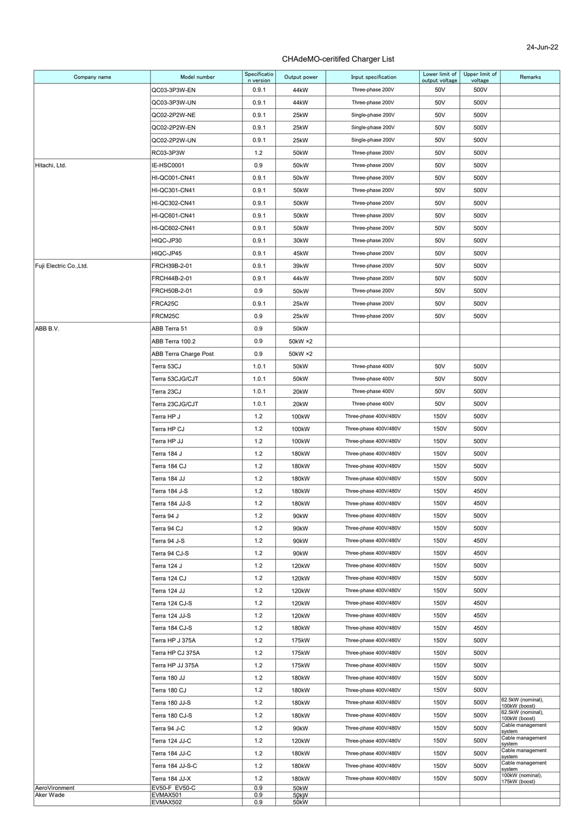| Company name            | Model number                           | Specificatio<br>n version | Output power      | Input specification   | Lower limit of<br>output voltage | Upper limit of<br>voltage | Remarks                            |
|-------------------------|----------------------------------------|---------------------------|-------------------|-----------------------|----------------------------------|---------------------------|------------------------------------|
|                         | QC03-3P3W-EN                           | 0.9.1                     | 44kW              | Three-phase 200V      | 50V                              | 500V                      |                                    |
|                         | QC03-3P3W-UN                           | 0.9.1                     | 44 <sub>k</sub> W | Three-phase 200V      | 50V                              | 500V                      |                                    |
|                         | QC02-2P2W-NE                           | 0.9.1                     | 25kW              | Single-phase 200V     | 50V                              | 500V                      |                                    |
|                         | QC02-2P2W-EN                           | 0.9.1                     | 25kW              | Single-phase 200V     | 50V                              | 500V                      |                                    |
|                         | QC02-2P2W-UN                           | 0.9.1                     | 25kW              | Single-phase 200V     | 50V                              | 500V                      |                                    |
|                         | RC03-3P3W                              | 1.2                       | 50kW              | Three-phase 200V      | 50V                              | 500V                      |                                    |
| Hitachi, Ltd.           | IE-HSC0001                             | 0.9                       | 50 <sub>k</sub> W | Three-phase 200V      | 50V                              | 500V                      |                                    |
|                         | HI-QC001-CN41                          | 0.9.1                     | 50 <sub>k</sub> W | Three-phase 200V      | 50V                              | 500V                      |                                    |
|                         | <b>HI-QC301-CN41</b>                   | 0.9.1                     | 50kW              | Three-phase 200V      | 50V                              | 500V                      |                                    |
|                         | HI-QC302-CN41                          | 0.9.1                     | 50 <sub>k</sub> W | Three-phase 200V      | 50V                              | 500V                      |                                    |
|                         | HI-QC601-CN41                          | 0.9.1                     | 50kW              | Three-phase 200V      | 50V                              | 500V                      |                                    |
|                         | HI-QC602-CN41                          | 0.9.1                     | 50kW              | Three-phase 200V      | 50V                              | 500V                      |                                    |
|                         | HIQC-JP30                              | 0.9.1                     | 30kW              | Three-phase 200V      | 50V                              | 500V                      |                                    |
|                         | HIQC-JP45                              | 0.9.1                     | 45kW              | Three-phase 200V      | 50V                              | 500V                      |                                    |
| Fuji Electric Co., Ltd. | FRCH39B-2-01                           | 0.9.1                     | 39kW              | Three-phase 200V      | 50V                              | 500V                      |                                    |
|                         | FRCH44B-2-01                           | 0.9.1                     | 44 <sub>k</sub> W | Three-phase 200V      | 50V                              | 500V                      |                                    |
|                         | FRCH50B-2-01                           | 0.9                       | 50 <sub>k</sub> W | Three-phase 200V      | 50V                              | 500V                      |                                    |
|                         | FRCA25C                                | 0.9.1                     | 25kW              | Three-phase 200V      | 50V                              | 500V                      |                                    |
|                         | FRCM25C                                | 0.9                       | 25kW              | Three-phase 200V      | 50V                              | 500V                      |                                    |
| ABB B.V.                | ABB Terra 51                           | 0.9                       | 50kW              |                       |                                  |                           |                                    |
|                         | ABB Terra 100.2                        | 0.9                       | 50kW ×2           |                       |                                  |                           |                                    |
|                         | ABB Terra Charge Post                  | 0.9                       | 50kW ×2           |                       |                                  |                           |                                    |
|                         | Terra 53CJ                             | 1.0.1                     | 50kW              | Three-phase 400V      | 50V                              | 500V                      |                                    |
|                         | Terra 53CJG/CJT                        | 1.0.1                     | 50kW              | Three-phase 400V      | 50V                              | 500V                      |                                    |
|                         | Terra 23CJ                             | 1.0.1                     | 20kW              | Three-phase 400V      | 50V                              | 500V                      |                                    |
|                         | Terra 23CJG/CJT                        | 1.0.1                     | 20kW              | Three-phase 400V      | 50V                              | 500V                      |                                    |
|                         | Terra HP J                             | 1.2                       | 100kW             | Three-phase 400V/480V | 150V                             | 500V                      |                                    |
|                         | Terra HP CJ                            | 1.2                       | 100kW             | Three-phase 400V/480V | 150V                             | 500V                      |                                    |
|                         | Terra HP JJ                            | 1.2                       | 100kW             | Three-phase 400V/480V | 150V                             | 500V                      |                                    |
|                         | Terra 184 J                            | 1.2                       | 180kW             | Three-phase 400V/480V | 150V                             | 500V                      |                                    |
|                         | Terra 184 CJ                           | 1.2                       | 180kW             | Three-phase 400V/480V | 150V                             | 500V                      |                                    |
|                         | Terra 184 JJ                           | 1.2                       | 180kW             | Three-phase 400V/480V | 150V                             | 500V                      |                                    |
|                         | Terra 184 J-S                          | 1.2                       | 180kW             | Three-phase 400V/480V | 150V                             | 450V                      |                                    |
|                         | Terra 184 JJ-S                         | 1.2                       | 180kW             | Three-phase 400V/480V | 150V                             | 450V                      |                                    |
|                         | Terra 94 J                             | 1.2                       | 90kW              | Three-phase 400V/480V | 150V                             | 500V                      |                                    |
|                         | Terra 94 CJ                            | 1.2                       | 90kW              | Three-phase 400V/480V | 150V                             | 500V                      |                                    |
|                         | Terra 94 J-S                           | 1.2                       | 90kW              | Three-phase 400V/480V | 150V                             | 450V                      |                                    |
|                         | Terra 94 CJ-S                          | 1.2                       | 90kW              | Three-phase 400V/480V | 150V                             | 450V                      |                                    |
|                         | Terra 124 J                            | 1.2                       | 120kW             | Three-phase 400V/480V | 150V                             | 500V                      |                                    |
|                         | Terra 124 CJ                           | 1.2                       | 120kW             | Three-phase 400V/480V | 150V                             | 500V                      |                                    |
|                         | Terra 124 JJ                           | 1.2                       | 120kW             | Three-phase 400V/480V | 150V                             | 500V                      |                                    |
|                         | Terra 124 CJ-S                         | 1.2                       | 120kW             | Three-phase 400V/480V | 150V                             | 450V                      |                                    |
|                         | Terra 124 JJ-S                         | 1.2                       | 120kW             | Three-phase 400V/480V | 150V                             | 450V                      |                                    |
|                         | Terra 184 CJ-S                         | 1.2                       | 180kW             | Three-phase 400V/480V | 150V                             | 450V                      |                                    |
|                         | Terra HP J 375A                        | 1.2                       | 175kW             | Three-phase 400V/480V | 150V                             | 500V                      |                                    |
|                         | Terra HP CJ 375A                       | 1.2                       | 175kW             | Three-phase 400V/480V | 150V                             | 500V                      |                                    |
|                         | Terra HP JJ 375A                       | 1.2                       | 175kW             | Three-phase 400V/480V | 150V                             | 500V                      |                                    |
|                         | Terra 180 JJ                           | 1.2                       | 180kW             | Three-phase 400V/480V | 150V                             | 500V                      |                                    |
|                         | Terra 180 CJ                           | 1.2                       | 180kW             | Three-phase 400V/480V | 150V                             | 500V                      |                                    |
|                         | Terra 180 JJ-S                         | 1.2                       | 180kW             | Three-phase 400V/480V | 150V                             | 500V                      | 62.5kW (nominal),                  |
|                         | Terra 180 CJ-S                         | 1.2                       | 180kW             | Three-phase 400V/480V | 150V                             | 500V                      | 100kW (boost)<br>62.5kW (nominal), |
|                         | Terra 94 J-C                           | 1.2                       | 90kW              | Three-phase 400V/480V | 150V                             | 500V                      | 100kW (boost)<br>Cable management  |
|                         |                                        | 1.2                       |                   |                       | 150V                             | 500V                      | system<br>Cable management         |
|                         | Terra 124 JJ-C                         |                           | 120kW             | Three-phase 400V/480V |                                  |                           | system<br>Cable management         |
|                         | Terra 184 JJ-C                         | 1.2                       | 180kW             | Three-phase 400V/480V | 150V                             | 500V                      | system<br>Cable management         |
|                         | Terra 184 JJ-S-C                       | 1.2                       | 180kW             | Three-phase 400V/480V | 150V                             | 500V                      | system<br>100kW (nominal),         |
| AeroVironment           | Terra 184 JJ-X<br><b>EV50-F EV50-C</b> | 1.2<br>0.9                | 180kW<br>50kW     | Three-phase 400V/480V | 150V                             | 500V                      | 175kW (boost)                      |
| Aker Wade               | EVMAX501                               | 0.9<br>0.9                | 50kW<br>50KW      |                       |                                  |                           |                                    |
|                         | EVMAX502                               |                           |                   |                       |                                  |                           |                                    |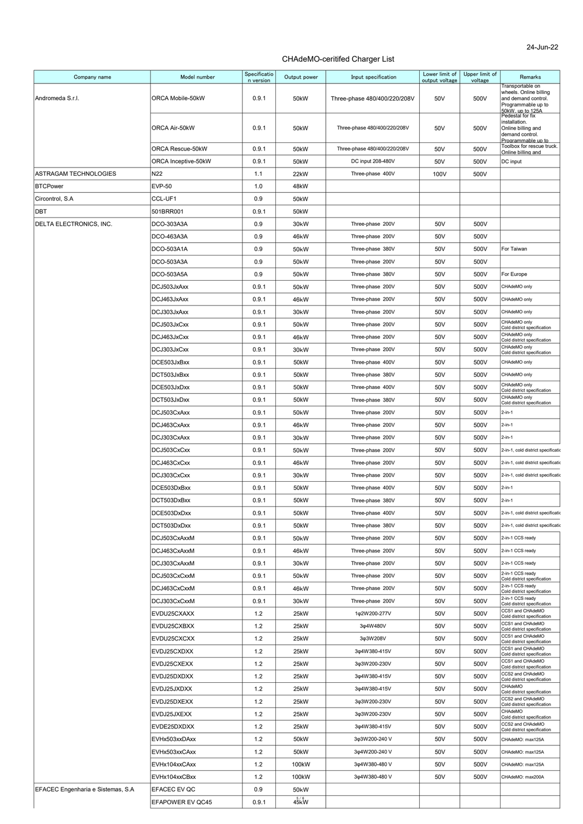| Company name                      | Model number        | Specificatio<br>n version | Output power      | Input specification          | Lower limit of<br>output voltage | Upper limit of<br>voltage | Remarks                                         |
|-----------------------------------|---------------------|---------------------------|-------------------|------------------------------|----------------------------------|---------------------------|-------------------------------------------------|
|                                   |                     |                           |                   |                              |                                  |                           | Transportable on<br>wheels. Online billing      |
| Andromeda S.r.l.                  | ORCA Mobile-50kW    | 0.9.1                     | 50kW              | Three-phase 480/400/220/208V | 50V                              | 500V                      | and demand control.<br>Programmable up to       |
|                                   |                     |                           |                   |                              |                                  |                           | 50kW. up to 125A<br>Pedestal for fix            |
|                                   | ORCA Air-50kW       | 0.9.1                     | 50kW              | Three-phase 480/400/220/208V | 50V                              | 500V                      | installation.<br>Online billing and             |
|                                   |                     |                           |                   |                              |                                  |                           | demand control.<br>Programmable up to           |
|                                   | ORCA Rescue-50kW    | 0.9.1                     | 50kW              | Three-phase 480/400/220/208V | 50V                              | 500V                      | Toolbox for rescue truck.<br>Online billing and |
|                                   | ORCA Inceptive-50kW | 0.9.1                     | 50kW              | DC input 208-480V            | 50V                              | 500V                      | DC input                                        |
| ASTRAGAM TECHNOLOGIES             | N22                 | 1.1                       | 22kW              | Three-phase 400V             | 100V                             | 500V                      |                                                 |
| <b>BTCPower</b>                   | <b>EVP-50</b>       | 1.0                       | 48kW              |                              |                                  |                           |                                                 |
| Circontrol, S.A                   | CCL-UF1             | 0.9                       | 50kW              |                              |                                  |                           |                                                 |
| DBT                               | 501BRR001           | 0.9.1                     | 50kW              |                              |                                  |                           |                                                 |
| DELTA ELECTRONICS, INC.           | DCO-303A3A          | 0.9                       | 30kW              | Three-phase 200V             | 50V                              | 500V                      |                                                 |
|                                   | DCO-463A3A          | 0.9                       | 46kW              | Three-phase 200V             | 50V                              | 500V                      |                                                 |
|                                   | DCO-503A1A          | 0.9                       | 50 <sub>k</sub> W | Three-phase 380V             | 50V                              | 500V                      | For Taiwan                                      |
|                                   | DCO-503A3A          | 0.9                       | 50 <sub>k</sub> W | Three-phase 200V             | 50V                              | 500V                      |                                                 |
|                                   | DCO-503A5A          | 0.9                       | 50 <sub>k</sub> W | Three-phase 380V             | 50V                              | 500V                      | For Europe                                      |
|                                   | DCJ503JxAxx         | 0.9.1                     | 50 <sub>k</sub> W | Three-phase 200V             | 50V                              | 500V                      | CHAdeMO only                                    |
|                                   | DCJ463JxAxx         | 0.9.1                     | 46kW              | Three-phase 200V             | 50V                              | 500V                      | CHAdeMO only                                    |
|                                   | DCJ303JxAxx         | 0.9.1                     | 30kW              | Three-phase 200V             | 50V                              | 500V                      | CHAdeMO only                                    |
|                                   | DCJ503JxCxx         | 0.9.1                     | 50 <sub>k</sub> W | Three-phase 200V             | 50V                              | 500V                      | CHAdeMO only<br>Cold district specification     |
|                                   | DCJ463JxCxx         | 0.9.1                     | 46kW              | Three-phase 200V             | 50V                              | 500V                      | CHAdeMO only<br>Cold district specification     |
|                                   | DCJ303JxCxx         | 0.9.1                     | 30kW              | Three-phase 200V             | 50V                              | 500V                      | CHAdeMO only<br>Cold district specification     |
|                                   | DCE503JxBxx         | 0.9.1                     | 50kW              | Three-phase 400V             | 50V                              | 500V                      | CHAdeMO only                                    |
|                                   | DCT503JxBxx         | 0.9.1                     | 50 <sub>k</sub> W | Three-phase 380V             | 50V                              | 500V                      | CHAdeMO only                                    |
|                                   | DCE503JxDxx         | 0.9.1                     | 50kW              | Three-phase 400V             | 50V                              | 500V                      | CHAdeMO only                                    |
|                                   | DCT503JxDxx         | 0.9.1                     | 50kW              | Three-phase 380V             | 50V                              | 500V                      | Cold district specification<br>CHAdeMO only     |
|                                   | DCJ503CxAxx         | 0.9.1                     | 50 <sub>k</sub> W | Three-phase 200V             | 50V                              | 500V                      | Cold district specification<br>$2-in-1$         |
|                                   | DCJ463CxAxx         | 0.9.1                     | 46kW              | Three-phase 200V             | 50V                              | 500V                      | $2-in-1$                                        |
|                                   | DCJ303CxAxx         |                           |                   | Three-phase 200V             |                                  |                           | $2-in-1$                                        |
|                                   |                     | 0.9.1                     | 30kW              |                              | 50V                              | 500V                      |                                                 |
|                                   | DCJ503CxCxx         | 0.9.1                     | 50 <sub>k</sub> W | Three-phase 200V             | 50V                              | 500V                      | 2-in-1, cold district specificatio              |
|                                   | DCJ463CxCxx         | 0.9.1                     | 46kW              | Three-phase 200V             | 50V                              | 500V                      | 2-in-1, cold district specificatio              |
|                                   | DCJ303CxCxx         | 0.9.1                     | 30kW              | Three-phase 200V             | 50V                              | 500V                      | 2-in-1, cold district specificatio              |
|                                   | DCE503DxBxx         | 0.9.1                     | 50kW              | Three-phase 400V             | 50V                              | 500V                      | $2-in-1$                                        |
|                                   | DCT503DxBxx         | 0.9.1                     | 50kW              | Three-phase 380V             | 50V                              | 500V                      | $2-in-1$                                        |
|                                   | DCE503DxDxx         | 0.9.1                     | 50kW              | Three-phase 400V             | 50V                              | 500V                      | 2-in-1, cold district specificatio              |
|                                   | DCT503DxDxx         | 0.9.1                     | 50kW              | Three-phase 380V             | 50V                              | 500V                      | 2-in-1, cold district specificatio              |
|                                   | DCJ503CxAxxM        | 0.9.1                     | 50 <sub>k</sub> W | Three-phase 200V             | 50V                              | 500V                      | 2-in-1 CCS ready                                |
|                                   | DCJ463CxAxxM        | 0.9.1                     | 46kW              | Three-phase 200V             | 50V                              | 500V                      | 2-in-1 CCS ready                                |
|                                   | DCJ303CxAxxM        | 0.9.1                     | 30 <sub>k</sub> W | Three-phase 200V             | 50V                              | 500V                      | 2-in-1 CCS ready<br>2-in-1 CCS ready            |
|                                   | DCJ503CxCxxM        | 0.9.1                     | 50 <sub>k</sub> W | Three-phase 200V             | 50V                              | 500V                      | Cold district specification<br>2-in-1 CCS ready |
|                                   | DCJ463CxCxxM        | 0.9.1                     | 46kW              | Three-phase 200V             | 50V                              | 500V                      | Cold district specification<br>2-in-1 CCS ready |
|                                   | DCJ303CxCxxM        | 0.9.1                     | 30kW              | Three-phase 200V             | 50V                              | 500V                      | Cold district specification<br>CCS1 and CHAdeMO |
|                                   | EVDU25CXAXX         | 1.2                       | 25kW              | 1φ2W200-277V                 | 50V                              | 500V                      | Cold district specification<br>CCS1 and CHAdeMO |
|                                   | EVDU25CXBXX         | 1.2                       | 25kW              | 3φ4W480V                     | 50V                              | 500V                      | Cold district specification<br>CCS1 and CHAdeMO |
|                                   | EVDU25CXCXX         | 1.2                       | 25kW              | 3¢3W208V                     | 50V                              | 500V                      | Cold district specification                     |
|                                   | EVDJ25CXDXX         | 1.2                       | 25kW              | 3¢4W380-415V                 | 50V                              | 500V                      | CCS1 and CHAdeMO<br>Cold district specification |
|                                   | EVDJ25CXEXX         | 1.2                       | 25kW              | 3φ3W200-230V                 | 50V                              | 500V                      | CCS1 and CHAdeMO<br>Cold district specification |
|                                   | EVDJ25DXDXX         | 1.2                       | 25kW              | 3¢4W380-415V                 | 50V                              | 500V                      | CCS2 and CHAdeMO<br>Cold district specification |
|                                   | EVDJ25JXDXX         | 1.2                       | 25kW              | 3φ4W380-415V                 | 50V                              | 500V                      | CHAdeMO<br>Cold district specification          |
|                                   | EVDJ25DXEXX         | 1.2                       | 25kW              | 3¢3W200-230V                 | 50V                              | 500V                      | CCS2 and CHAdeMO<br>Cold district specification |
|                                   | EVDJ25JXEXX         | 1.2                       | 25kW              | 3φ3W200-230V                 | 50V                              | 500V                      | CHAdeMO<br>Cold district specification          |
|                                   | EVDE25DXDXX         | 1.2                       | 25kW              | 3¢4W380-415V                 | 50V                              | 500V                      | CCS2 and CHAdeMO<br>Cold district specification |
|                                   | EVHx503xxDAxx       | 1.2                       | 50kW              | 3φ3W200-240 V                | 50V                              | 500V                      | CHAdeMO: max125A                                |
|                                   | EVHx503xxCAxx       | 1.2                       | 50kW              | 3¢4W200-240 V                | 50V                              | 500V                      | CHAdeMO: max125A                                |
|                                   | EVHx104xxCAxx       | 1.2                       | 100kW             | 3¢4W380-480 V                | 50V                              | 500V                      | CHAdeMO: max125A                                |
|                                   | EVHx104xxCBxx       | 1.2                       | 100kW             | 3¢4W380-480 V                | 50V                              | 500V                      | CHAdeMO: max200A                                |
| EFACEC Engenharia e Sistemas, S.A | EFACEC EV QC        | 0.9                       | 50 <sub>k</sub> W |                              |                                  |                           |                                                 |
|                                   | EFAPOWER EV QC45    | 0.9.1                     | 45kW              |                              |                                  |                           |                                                 |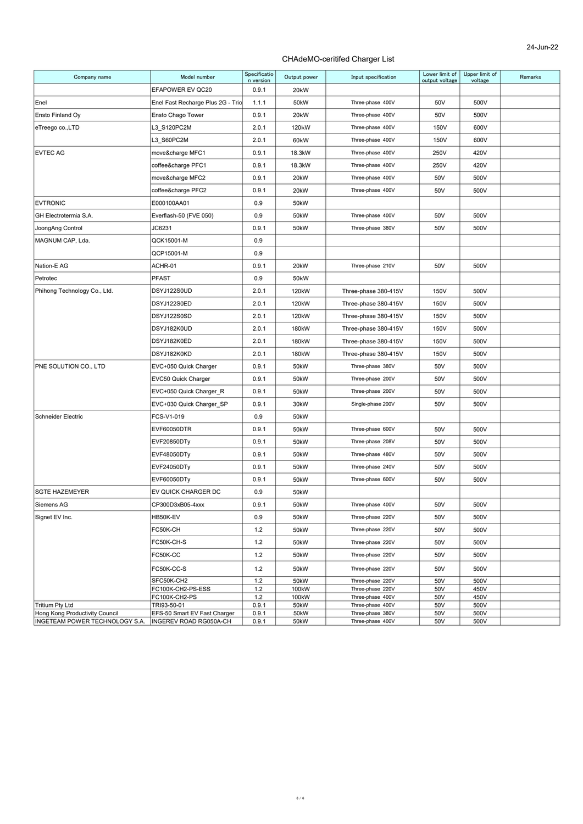| Company name                                      | Model number                                | Specificatio<br>n version | Output power       | Input specification                  | Lower limit of<br>output voltage | Upper limit of<br>voltage | Remarks |
|---------------------------------------------------|---------------------------------------------|---------------------------|--------------------|--------------------------------------|----------------------------------|---------------------------|---------|
|                                                   | EFAPOWER EV QC20                            | 0.9.1                     | 20 <sub>k</sub> W  |                                      |                                  |                           |         |
| Enel                                              | Enel Fast Recharge Plus 2G - Trio           | 1.1.1                     | 50kW               | Three-phase 400V                     | 50V                              | 500V                      |         |
| Ensto Finland Oy                                  | Ensto Chago Tower                           | 0.9.1                     | 20 <sub>k</sub> W  | Three-phase 400V                     | 50V                              | 500V                      |         |
| eTreego co.,LTD                                   | L3_S120PC2M                                 | 2.0.1                     | 120 <sub>k</sub> W | Three-phase 400V                     | 150V                             | 600V                      |         |
|                                                   | L3_S60PC2M                                  | 2.0.1                     | 60kW               | Three-phase 400V                     | 150V                             | 600V                      |         |
| <b>EVTEC AG</b>                                   | move&charge MFC1                            | 0.9.1                     | 18.3kW             | Three-phase 400V                     | 250V                             | 420V                      |         |
|                                                   | coffee&charge PFC1                          | 0.9.1                     | 18.3kW             | Three-phase 400V                     | 250V                             | 420V                      |         |
|                                                   | move&charge MFC2                            | 0.9.1                     | 20kW               | Three-phase 400V                     | 50V                              | 500V                      |         |
|                                                   | coffee&charge PFC2                          | 0.9.1                     | 20kW               | Three-phase 400V                     | 50V                              | 500V                      |         |
| <b>EVTRONIC</b>                                   | E000100AA01                                 | 0.9                       | 50kW               |                                      |                                  |                           |         |
| GH Electrotermia S.A.                             | Everflash-50 (FVE 050)                      | 0.9                       | 50kW               | Three-phase 400V                     | 50V                              | 500V                      |         |
| JoongAng Control                                  | JC6231                                      | 0.9.1                     | 50kW               | Three-phase 380V                     | 50V                              | 500V                      |         |
| MAGNUM CAP, Lda.                                  | QCK15001-M                                  | 0.9                       |                    |                                      |                                  |                           |         |
|                                                   | QCP15001-M                                  | 0.9                       |                    |                                      |                                  |                           |         |
| Nation-E AG                                       | ACHR-01                                     | 0.9.1                     | 20kW               | Three-phase 210V                     | 50V                              | 500V                      |         |
| Petrotec                                          | <b>PFAST</b>                                | 0.9                       | 50 <sub>k</sub> W  |                                      |                                  |                           |         |
| Phihong Technology Co., Ltd.                      | DSYJ122S0UD                                 | 2.0.1                     | 120 <sub>k</sub> W | Three-phase 380-415V                 | 150V                             | 500V                      |         |
|                                                   | DSYJ122S0ED                                 | 2.0.1                     | 120kW              | Three-phase 380-415V                 | 150V                             | 500V                      |         |
|                                                   | DSYJ122S0SD                                 | 2.0.1                     | 120kW              | Three-phase 380-415V                 | 150V                             | 500V                      |         |
|                                                   | DSYJ182K0UD                                 | 2.0.1                     | 180kW              | Three-phase 380-415V                 | 150V                             | 500V                      |         |
|                                                   | DSYJ182K0ED                                 | 2.0.1                     | 180kW              | Three-phase 380-415V                 | 150V                             | 500V                      |         |
|                                                   | DSYJ182K0KD                                 | 2.0.1                     | 180kW              | Three-phase 380-415V                 | 150V                             | 500V                      |         |
| PNE SOLUTION CO., LTD                             | EVC+050 Quick Charger                       | 0.9.1                     | 50kW               | Three-phase 380V                     | 50V                              | 500V                      |         |
|                                                   | EVC50 Quick Charger                         | 0.9.1                     | 50kW               | Three-phase 200V                     | 50V                              | 500V                      |         |
|                                                   | EVC+050 Quick Charger R                     | 0.9.1                     | 50kW               | Three-phase 200V                     | 50V                              | 500V                      |         |
|                                                   | EVC+030 Quick Charger_SP                    | 0.9.1                     | 30kW               | Single-phase 200V                    | 50V                              | 500V                      |         |
| <b>Schneider Electric</b>                         | FCS-V1-019                                  | 0.9                       | 50kW               |                                      |                                  |                           |         |
|                                                   | EVF60050DTR                                 | 0.9.1                     | 50kW               | Three-phase 600V                     | 50V                              | 500V                      |         |
|                                                   | EVF20850DTy                                 | 0.9.1                     | 50kW               | Three-phase 208V                     | 50V                              | 500V                      |         |
|                                                   | EVF48050DTy                                 | 0.9.1                     | 50kW               | Three-phase 480V                     | 50V                              | 500V                      |         |
|                                                   | EVF24050DTy                                 | 0.9.1                     | 50kW               | Three-phase 240V                     | 50V                              | 500V                      |         |
|                                                   | EVF60050DTy                                 | 0.9.1                     | 50kW               | Three-phase 600V                     | 50V                              | 500V                      |         |
| <b>SGTE HAZEMEYER</b>                             | EV QUICK CHARGER DC                         | 0.9                       | 50kW               |                                      |                                  |                           |         |
| Siemens AG                                        | CP300D3xB05-4xxx                            | 0.9.1                     | 50kW               | Three-phase 400V                     | 50V                              | 500V                      |         |
| Signet EV Inc.                                    | HB50K-EV                                    | 0.9                       | 50kW               | Three-phase 220V                     | 50V                              | 500V                      |         |
|                                                   | FC50K-CH                                    | 1.2                       | 50kW               | Three-phase 220V                     | 50V                              | 500V                      |         |
|                                                   | FC50K-CH-S                                  | 1.2                       | 50kW               | Three-phase 220V                     | 50V                              | 500V                      |         |
|                                                   | FC50K-CC                                    | 1.2                       | 50kW               | Three-phase 220V                     | 50V                              | 500V                      |         |
|                                                   | FC50K-CC-S                                  | 1.2                       | 50kW               | Three-phase 220V                     | 50V                              | 500V                      |         |
|                                                   | SFC50K-CH2                                  | 1.2                       | 50kW               | Three-phase 220V                     | 50V                              | 500V                      |         |
|                                                   | FC100K-CH2-PS-ESS                           | 1.2                       | 100kW              | Three-phase 220V                     | 50V                              | 450V                      |         |
|                                                   | FC100K-CH2-PS                               | 1.2                       | 100kW              | Three-phase 400V                     | 50V                              | 450V                      |         |
| Tritium Pty Ltd<br>Hong Kong Productivity Council | TRI93-50-01<br>EFS-50 Smart EV Fast Charger | 0.9.1<br>0.9.1            | 50kW<br>50kW       | Three-phase 400V<br>Three-phase 380V | 50V<br>50V                       | 500V<br>500V              |         |
| INGETEAM POWER TECHNOLOGY S.A.                    | INGEREV ROAD RG050A-CH                      | 0.9.1                     | 50kW               | Three-phase 400V                     | 50V                              | 500V                      |         |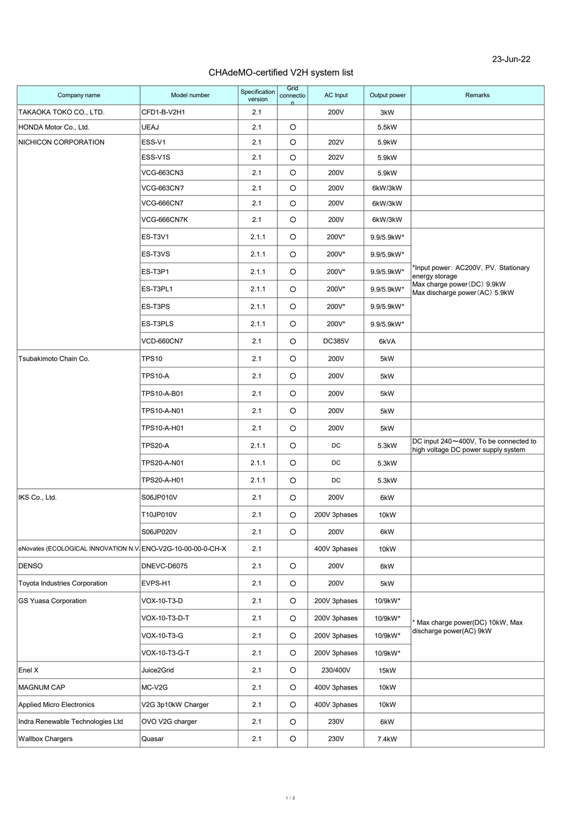## CHAdeMO-certified V2H system list

| Company name                                                 | Model number       | Specification<br>version | Grid<br>connectio | AC Input      | Output power | Remarks                                                                      |
|--------------------------------------------------------------|--------------------|--------------------------|-------------------|---------------|--------------|------------------------------------------------------------------------------|
| TAKAOKA TOKO CO., LTD.                                       | CFD1-B-V2H1        | 2.1                      |                   | 200V          | 3kW          |                                                                              |
| HONDA Motor Co., Ltd.                                        | <b>UEAJ</b>        | 2.1                      | $\circ$           |               | 5.5kW        |                                                                              |
| NICHICON CORPORATION                                         | ESS-V1             | 2.1                      | $\circ$           | 202V          | 5.9kW        |                                                                              |
|                                                              | ESS-V1S            | 2.1                      | $\circ$           | 202V          | 5.9kW        |                                                                              |
|                                                              | <b>VCG-663CN3</b>  | 2.1                      | $\circ$           | 200V          | 5.9kW        |                                                                              |
|                                                              | <b>VCG-663CN7</b>  | 2.1                      | O                 | 200V          | 6kW/3kW      |                                                                              |
|                                                              | <b>VCG-666CN7</b>  | 2.1                      | $\circ$           | 200V          | 6kW/3kW      |                                                                              |
|                                                              | VCG-666CN7K        | 2.1                      | $\circ$           | 200V          | 6kW/3kW      |                                                                              |
|                                                              | ES-T3V1            | 2.1.1                    | $\circ$           | 200V*         | 9.9/5.9kW*   |                                                                              |
|                                                              | ES-T3VS            | 2.1.1                    | O                 | 200V*         | 9.9/5.9kW*   |                                                                              |
|                                                              | ES-T3P1            | 2.1.1                    | O                 | 200V*         | 9.9/5.9kW*   | *Input power: AC200V, PV, Stationary<br>energy storage                       |
|                                                              | ES-T3PL1           | 2.1.1                    | O                 | 200V*         | 9.9/5.9kW*   | Max charge power (DC) 9.9kW<br>Max discharge power (AC) 5.9kW                |
|                                                              | ES-T3PS            | 2.1.1                    | O                 | 200V*         | 9.9/5.9kW*   |                                                                              |
|                                                              | ES-T3PLS           | 2.1.1                    | $\circ$           | 200V*         | 9.9/5.9kW*   |                                                                              |
|                                                              | <b>VCD-660CN7</b>  | 2.1                      | $\circ$           | <b>DC385V</b> | 6kVA         |                                                                              |
| Tsubakimoto Chain Co.                                        | <b>TPS10</b>       | 2.1                      | $\circ$           | 200V          | 5kW          |                                                                              |
|                                                              | <b>TPS10-A</b>     | 2.1                      | O                 | 200V          | 5kW          |                                                                              |
|                                                              | TPS10-A-B01        | 2.1                      | O                 | 200V          | 5kW          |                                                                              |
|                                                              | TPS10-A-N01        | 2.1                      | O                 | 200V          | 5kW          |                                                                              |
|                                                              | TPS10-A-H01        | 2.1                      | O                 | 200V          | 5kW          |                                                                              |
|                                                              | <b>TPS20-A</b>     | 2.1.1                    | $\circ$           | DC            | 5.3kW        | DC input 240~400V, To be connected to<br>high voltage DC power supply system |
|                                                              | TPS20-A-N01        | 2.1.1                    | $\circ$           | DC            | 5.3kW        |                                                                              |
|                                                              | TPS20-A-H01        | 2.1.1                    | O                 | DC            | 5.3kW        |                                                                              |
| IKS Co., Ltd.                                                | S06JP010V          | 2.1                      | $\circ$           | 200V          | 6kW          |                                                                              |
|                                                              | T10JP010V          | 2.1                      | O                 | 200V 3phases  | 10kW         |                                                                              |
|                                                              | S06JP020V          | 2.1                      | $\circ$           | 200V          | 6kW          |                                                                              |
| eNovates (ECOLOGICAL INNOVATION N.V. ENO-V2G-10-00-00-0-CH-X |                    | 2.1                      |                   | 400V 3phases  | 10kW         |                                                                              |
| <b>DENSO</b>                                                 | DNEVC-D6075        | 2.1                      | $\circ$           | 200V          | 6kW          |                                                                              |
| <b>Toyota Industries Corporation</b>                         | EVPS-H1            | 2.1                      | $\circ$           | 200V          | 5kW          |                                                                              |
| <b>GS Yuasa Corporation</b>                                  | VOX-10-T3-D        | 2.1                      | $\circ$           | 200V 3phases  | 10/9kW*      |                                                                              |
|                                                              | VOX-10-T3-D-T      | 2.1                      | O                 | 200V 3phases  | 10/9kW*      | Max charge power(DC) 10kW, Max                                               |
|                                                              | VOX-10-T3-G        | 2.1                      | $\circ$           | 200V 3phases  | 10/9kW*      | discharge power(AC) 9kW                                                      |
|                                                              | VOX-10-T3-G-T      | 2.1                      | O                 | 200V 3phases  | 10/9kW*      |                                                                              |
| Enel X                                                       | Juice2Grid         | 2.1                      | $\circ$           | 230/400V      | 15kW         |                                                                              |
| <b>MAGNUM CAP</b>                                            | MC-V2G             | 2.1                      | $\circ$           | 400V 3phases  | 10kW         |                                                                              |
| <b>Applied Micro Electronics</b>                             | V2G 3p10kW Charger | 2.1                      | $\circ$           | 400V 3phases  | 10kW         |                                                                              |
| Indra Renewable Technologies Ltd                             | OVO V2G charger    | 2.1                      | $\circ$           | 230V          | 6kW          |                                                                              |
| Wallbox Chargers                                             | Quasar             | 2.1                      | $\circ$           | 230V          | 7.4kW        |                                                                              |